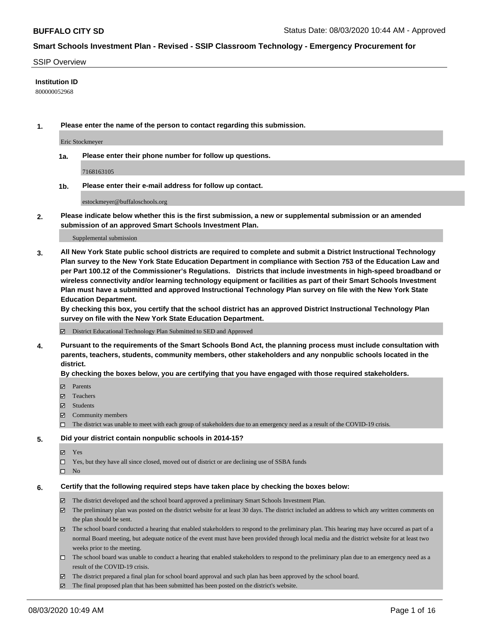#### SSIP Overview

#### **Institution ID**

800000052968

**1. Please enter the name of the person to contact regarding this submission.**

Eric Stockmeyer

**1a. Please enter their phone number for follow up questions.**

7168163105

**1b. Please enter their e-mail address for follow up contact.**

estockmeyer@buffaloschools.org

**2. Please indicate below whether this is the first submission, a new or supplemental submission or an amended submission of an approved Smart Schools Investment Plan.**

#### Supplemental submission

**3. All New York State public school districts are required to complete and submit a District Instructional Technology Plan survey to the New York State Education Department in compliance with Section 753 of the Education Law and per Part 100.12 of the Commissioner's Regulations. Districts that include investments in high-speed broadband or wireless connectivity and/or learning technology equipment or facilities as part of their Smart Schools Investment Plan must have a submitted and approved Instructional Technology Plan survey on file with the New York State Education Department.** 

**By checking this box, you certify that the school district has an approved District Instructional Technology Plan survey on file with the New York State Education Department.**

District Educational Technology Plan Submitted to SED and Approved

**4. Pursuant to the requirements of the Smart Schools Bond Act, the planning process must include consultation with parents, teachers, students, community members, other stakeholders and any nonpublic schools located in the district.** 

#### **By checking the boxes below, you are certifying that you have engaged with those required stakeholders.**

- **Ø** Parents
- Teachers
- Students
- $\boxtimes$  Community members
- The district was unable to meet with each group of stakeholders due to an emergency need as a result of the COVID-19 crisis.

#### **5. Did your district contain nonpublic schools in 2014-15?**

- **冈** Yes
- Yes, but they have all since closed, moved out of district or are declining use of SSBA funds
- $\square$  No

#### **6. Certify that the following required steps have taken place by checking the boxes below:**

- The district developed and the school board approved a preliminary Smart Schools Investment Plan.
- $\boxtimes$  The preliminary plan was posted on the district website for at least 30 days. The district included an address to which any written comments on the plan should be sent.
- The school board conducted a hearing that enabled stakeholders to respond to the preliminary plan. This hearing may have occured as part of a normal Board meeting, but adequate notice of the event must have been provided through local media and the district website for at least two weeks prior to the meeting.
- The school board was unable to conduct a hearing that enabled stakeholders to respond to the preliminary plan due to an emergency need as a result of the COVID-19 crisis.
- The district prepared a final plan for school board approval and such plan has been approved by the school board.
- $\boxtimes$  The final proposed plan that has been submitted has been posted on the district's website.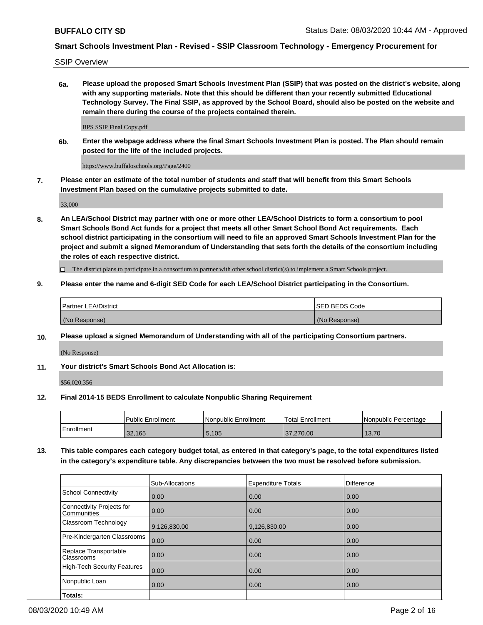SSIP Overview

**6a. Please upload the proposed Smart Schools Investment Plan (SSIP) that was posted on the district's website, along with any supporting materials. Note that this should be different than your recently submitted Educational Technology Survey. The Final SSIP, as approved by the School Board, should also be posted on the website and remain there during the course of the projects contained therein.**

BPS SSIP Final Copy.pdf

**6b. Enter the webpage address where the final Smart Schools Investment Plan is posted. The Plan should remain posted for the life of the included projects.**

https://www.buffaloschools.org/Page/2400

**7. Please enter an estimate of the total number of students and staff that will benefit from this Smart Schools Investment Plan based on the cumulative projects submitted to date.**

33,000

**8. An LEA/School District may partner with one or more other LEA/School Districts to form a consortium to pool Smart Schools Bond Act funds for a project that meets all other Smart School Bond Act requirements. Each school district participating in the consortium will need to file an approved Smart Schools Investment Plan for the project and submit a signed Memorandum of Understanding that sets forth the details of the consortium including the roles of each respective district.**

 $\Box$  The district plans to participate in a consortium to partner with other school district(s) to implement a Smart Schools project.

#### **9. Please enter the name and 6-digit SED Code for each LEA/School District participating in the Consortium.**

| Partner LEA/District | ISED BEDS Code |
|----------------------|----------------|
| (No Response)        | (No Response)  |

#### **10. Please upload a signed Memorandum of Understanding with all of the participating Consortium partners.**

(No Response)

**11. Your district's Smart Schools Bond Act Allocation is:**

\$56,020,356

#### **12. Final 2014-15 BEDS Enrollment to calculate Nonpublic Sharing Requirement**

|            | Public Enrollment | Nonpublic Enrollment | Total Enrollment | I Nonpublic Percentage |
|------------|-------------------|----------------------|------------------|------------------------|
| Enrollment | 32,165            | 5,105                | 37,270.00        | 13.70                  |

**13. This table compares each category budget total, as entered in that category's page, to the total expenditures listed in the category's expenditure table. Any discrepancies between the two must be resolved before submission.**

|                                          | Sub-Allocations | <b>Expenditure Totals</b> | <b>Difference</b> |
|------------------------------------------|-----------------|---------------------------|-------------------|
| <b>School Connectivity</b>               | 0.00            | 0.00                      | 0.00              |
| Connectivity Projects for<br>Communities | 0.00            | 0.00                      | 0.00              |
| Classroom Technology                     | 9,126,830.00    | 9,126,830.00              | 0.00              |
| Pre-Kindergarten Classrooms              | 0.00            | 0.00                      | 0.00              |
| Replace Transportable<br>Classrooms      | 0.00            | 0.00                      | 0.00              |
| <b>High-Tech Security Features</b>       | 0.00            | 0.00                      | 0.00              |
| Nonpublic Loan                           | 0.00            | 0.00                      | 0.00              |
| Totals:                                  |                 |                           |                   |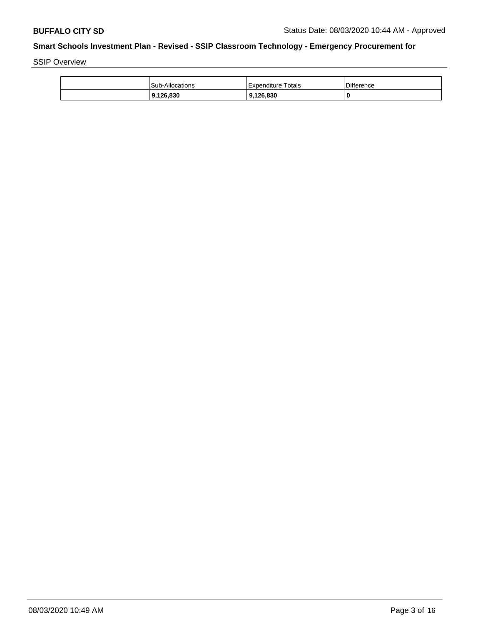SSIP Overview

| 9,126,830       | 9.126.830          | 0                 |
|-----------------|--------------------|-------------------|
| Sub-Allocations | Expenditure Totals | <b>Difference</b> |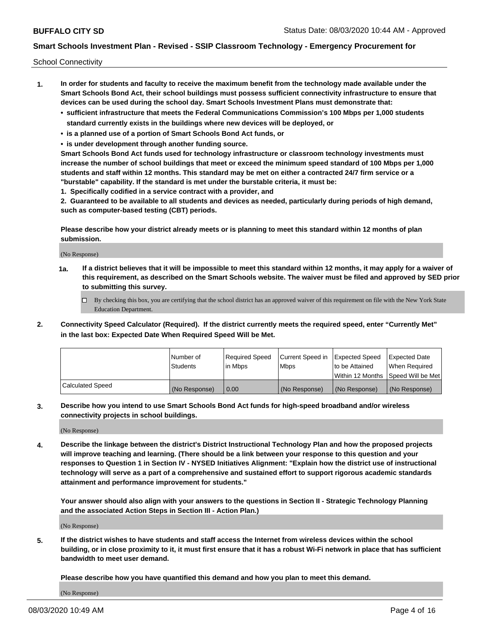School Connectivity

- **1. In order for students and faculty to receive the maximum benefit from the technology made available under the Smart Schools Bond Act, their school buildings must possess sufficient connectivity infrastructure to ensure that devices can be used during the school day. Smart Schools Investment Plans must demonstrate that:**
	- **• sufficient infrastructure that meets the Federal Communications Commission's 100 Mbps per 1,000 students standard currently exists in the buildings where new devices will be deployed, or**
	- **• is a planned use of a portion of Smart Schools Bond Act funds, or**
	- **• is under development through another funding source.**

**Smart Schools Bond Act funds used for technology infrastructure or classroom technology investments must increase the number of school buildings that meet or exceed the minimum speed standard of 100 Mbps per 1,000 students and staff within 12 months. This standard may be met on either a contracted 24/7 firm service or a "burstable" capability. If the standard is met under the burstable criteria, it must be:**

**1. Specifically codified in a service contract with a provider, and**

**2. Guaranteed to be available to all students and devices as needed, particularly during periods of high demand, such as computer-based testing (CBT) periods.**

**Please describe how your district already meets or is planning to meet this standard within 12 months of plan submission.**

(No Response)

**1a. If a district believes that it will be impossible to meet this standard within 12 months, it may apply for a waiver of this requirement, as described on the Smart Schools website. The waiver must be filed and approved by SED prior to submitting this survey.**

 $\Box$  By checking this box, you are certifying that the school district has an approved waiver of this requirement on file with the New York State Education Department.

**2. Connectivity Speed Calculator (Required). If the district currently meets the required speed, enter "Currently Met" in the last box: Expected Date When Required Speed Will be Met.**

|                  | l Number of     | Reauired Speed | Current Speed in | Expected Speed | Expected Date                       |
|------------------|-----------------|----------------|------------------|----------------|-------------------------------------|
|                  | <b>Students</b> | l in Mbps      | l Mbps           | to be Attained | When Required                       |
|                  |                 |                |                  |                | Within 12 Months ISpeed Will be Met |
| Calculated Speed | (No Response)   | 0.00           | (No Response)    | (No Response)  | (No Response)                       |

**3. Describe how you intend to use Smart Schools Bond Act funds for high-speed broadband and/or wireless connectivity projects in school buildings.**

(No Response)

**4. Describe the linkage between the district's District Instructional Technology Plan and how the proposed projects will improve teaching and learning. (There should be a link between your response to this question and your responses to Question 1 in Section IV - NYSED Initiatives Alignment: "Explain how the district use of instructional technology will serve as a part of a comprehensive and sustained effort to support rigorous academic standards attainment and performance improvement for students."** 

**Your answer should also align with your answers to the questions in Section II - Strategic Technology Planning and the associated Action Steps in Section III - Action Plan.)**

(No Response)

**5. If the district wishes to have students and staff access the Internet from wireless devices within the school building, or in close proximity to it, it must first ensure that it has a robust Wi-Fi network in place that has sufficient bandwidth to meet user demand.**

**Please describe how you have quantified this demand and how you plan to meet this demand.**

(No Response)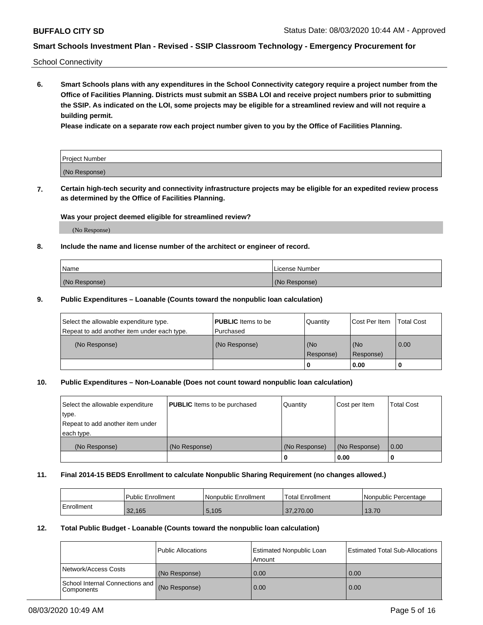School Connectivity

**6. Smart Schools plans with any expenditures in the School Connectivity category require a project number from the Office of Facilities Planning. Districts must submit an SSBA LOI and receive project numbers prior to submitting the SSIP. As indicated on the LOI, some projects may be eligible for a streamlined review and will not require a building permit.**

**Please indicate on a separate row each project number given to you by the Office of Facilities Planning.**

| Project Number |  |
|----------------|--|
| (No Response)  |  |

**7. Certain high-tech security and connectivity infrastructure projects may be eligible for an expedited review process as determined by the Office of Facilities Planning.**

#### **Was your project deemed eligible for streamlined review?**

(No Response)

#### **8. Include the name and license number of the architect or engineer of record.**

| Name          | License Number |
|---------------|----------------|
| (No Response) | (No Response)  |

#### **9. Public Expenditures – Loanable (Counts toward the nonpublic loan calculation)**

| Select the allowable expenditure type.<br>Repeat to add another item under each type. | <b>PUBLIC</b> Items to be<br>l Purchased | Quantity           | Cost Per Item    | <b>Total Cost</b> |
|---------------------------------------------------------------------------------------|------------------------------------------|--------------------|------------------|-------------------|
| (No Response)                                                                         | (No Response)                            | l (No<br>Response) | (No<br>Response) | $\overline{0.00}$ |
|                                                                                       |                                          | O                  | 0.00             |                   |

## **10. Public Expenditures – Non-Loanable (Does not count toward nonpublic loan calculation)**

| Select the allowable expenditure<br>type.<br>Repeat to add another item under<br>each type. | <b>PUBLIC</b> Items to be purchased | Quantity      | Cost per Item | <b>Total Cost</b> |
|---------------------------------------------------------------------------------------------|-------------------------------------|---------------|---------------|-------------------|
| (No Response)                                                                               | (No Response)                       | (No Response) | (No Response) | 0.00              |
|                                                                                             |                                     |               | 0.00          |                   |

#### **11. Final 2014-15 BEDS Enrollment to calculate Nonpublic Sharing Requirement (no changes allowed.)**

|            | Public Enrollment | l Nonpublic Enrollment | <b>Total Enrollment</b> | Nonpublic Percentage |
|------------|-------------------|------------------------|-------------------------|----------------------|
| Enrollment | 32.165            | 5,105                  | 37,270,00               | 13.70                |

#### **12. Total Public Budget - Loanable (Counts toward the nonpublic loan calculation)**

|                                                      | Public Allocations | <b>Estimated Nonpublic Loan</b><br>Amount | Estimated Total Sub-Allocations |
|------------------------------------------------------|--------------------|-------------------------------------------|---------------------------------|
| Network/Access Costs                                 | (No Response)      | 0.00                                      | 0.00                            |
| School Internal Connections and<br><b>Components</b> | (No Response)      | 0.00                                      | 0.00                            |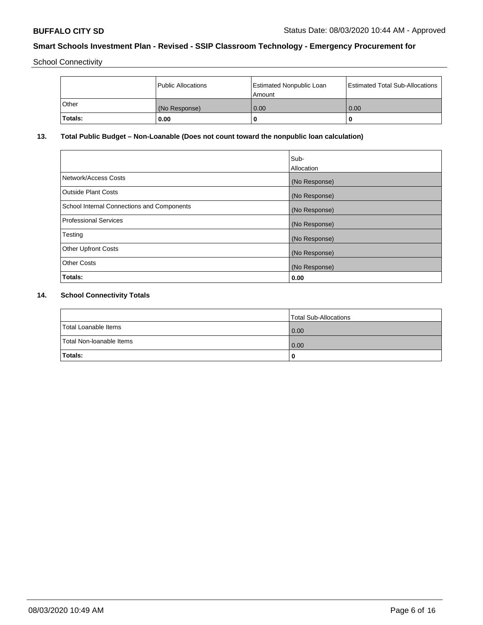School Connectivity

|         | Public Allocations | <b>Estimated Nonpublic Loan</b><br>l Amount | <b>Estimated Total Sub-Allocations</b> |
|---------|--------------------|---------------------------------------------|----------------------------------------|
| l Other | (No Response)      | 0.00                                        | 0.00                                   |
| Totals: | 0.00               | 0                                           |                                        |

## **13. Total Public Budget – Non-Loanable (Does not count toward the nonpublic loan calculation)**

|                                                   | Sub-<br>Allocation |
|---------------------------------------------------|--------------------|
| Network/Access Costs                              | (No Response)      |
| <b>Outside Plant Costs</b>                        | (No Response)      |
| <b>School Internal Connections and Components</b> | (No Response)      |
| <b>Professional Services</b>                      | (No Response)      |
| Testing                                           | (No Response)      |
| <b>Other Upfront Costs</b>                        | (No Response)      |
| <b>Other Costs</b>                                | (No Response)      |
| Totals:                                           | 0.00               |

## **14. School Connectivity Totals**

|                          | Total Sub-Allocations |
|--------------------------|-----------------------|
| Total Loanable Items     | 0.00                  |
| Total Non-Ioanable Items | 0.00                  |
| Totals:                  | 0                     |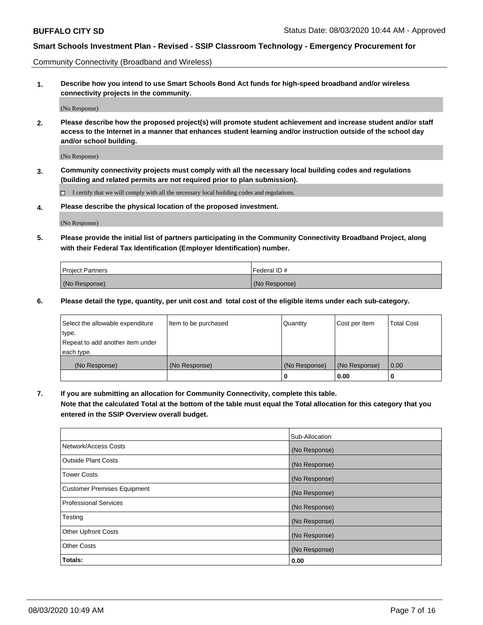Community Connectivity (Broadband and Wireless)

**1. Describe how you intend to use Smart Schools Bond Act funds for high-speed broadband and/or wireless connectivity projects in the community.**

(No Response)

**2. Please describe how the proposed project(s) will promote student achievement and increase student and/or staff access to the Internet in a manner that enhances student learning and/or instruction outside of the school day and/or school building.**

(No Response)

**3. Community connectivity projects must comply with all the necessary local building codes and regulations (building and related permits are not required prior to plan submission).**

 $\Box$  I certify that we will comply with all the necessary local building codes and regulations.

**4. Please describe the physical location of the proposed investment.**

(No Response)

**5. Please provide the initial list of partners participating in the Community Connectivity Broadband Project, along with their Federal Tax Identification (Employer Identification) number.**

| <b>Project Partners</b> | l Federal ID # |
|-------------------------|----------------|
| (No Response)           | (No Response)  |

**6. Please detail the type, quantity, per unit cost and total cost of the eligible items under each sub-category.**

| Select the allowable expenditure | Item to be purchased | Quantity      | Cost per Item | <b>Total Cost</b> |
|----------------------------------|----------------------|---------------|---------------|-------------------|
| type.                            |                      |               |               |                   |
| Repeat to add another item under |                      |               |               |                   |
| each type.                       |                      |               |               |                   |
| (No Response)                    | (No Response)        | (No Response) | (No Response) | 0.00              |
|                                  |                      | o             | 0.00          |                   |

**7. If you are submitting an allocation for Community Connectivity, complete this table.**

**Note that the calculated Total at the bottom of the table must equal the Total allocation for this category that you entered in the SSIP Overview overall budget.**

|                                    | Sub-Allocation |
|------------------------------------|----------------|
| Network/Access Costs               | (No Response)  |
| Outside Plant Costs                | (No Response)  |
| <b>Tower Costs</b>                 | (No Response)  |
| <b>Customer Premises Equipment</b> | (No Response)  |
| <b>Professional Services</b>       | (No Response)  |
| Testing                            | (No Response)  |
| <b>Other Upfront Costs</b>         | (No Response)  |
| <b>Other Costs</b>                 | (No Response)  |
| Totals:                            | 0.00           |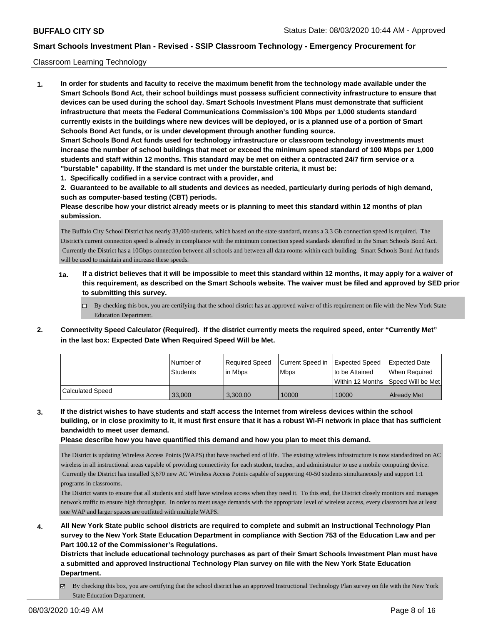#### Classroom Learning Technology

**1. In order for students and faculty to receive the maximum benefit from the technology made available under the Smart Schools Bond Act, their school buildings must possess sufficient connectivity infrastructure to ensure that devices can be used during the school day. Smart Schools Investment Plans must demonstrate that sufficient infrastructure that meets the Federal Communications Commission's 100 Mbps per 1,000 students standard currently exists in the buildings where new devices will be deployed, or is a planned use of a portion of Smart Schools Bond Act funds, or is under development through another funding source. Smart Schools Bond Act funds used for technology infrastructure or classroom technology investments must increase the number of school buildings that meet or exceed the minimum speed standard of 100 Mbps per 1,000 students and staff within 12 months. This standard may be met on either a contracted 24/7 firm service or a "burstable" capability. If the standard is met under the burstable criteria, it must be: 1. Specifically codified in a service contract with a provider, and**

**2. Guaranteed to be available to all students and devices as needed, particularly during periods of high demand, such as computer-based testing (CBT) periods.**

**Please describe how your district already meets or is planning to meet this standard within 12 months of plan submission.**

The Buffalo City School District has nearly 33,000 students, which based on the state standard, means a 3.3 Gb connection speed is required. The District's current connection speed is already in compliance with the minimum connection speed standards identified in the Smart Schools Bond Act. Currently the District has a 10Gbps connection between all schools and between all data rooms within each building. Smart Schools Bond Act funds will be used to maintain and increase these speeds.

- **1a. If a district believes that it will be impossible to meet this standard within 12 months, it may apply for a waiver of this requirement, as described on the Smart Schools website. The waiver must be filed and approved by SED prior to submitting this survey.**
	- $\Box$  By checking this box, you are certifying that the school district has an approved waiver of this requirement on file with the New York State Education Department.
- **2. Connectivity Speed Calculator (Required). If the district currently meets the required speed, enter "Currently Met" in the last box: Expected Date When Required Speed Will be Met.**

|                         | l Number of<br>Students | Reauired Speed<br>l in Mbps | Current Speed in<br><b>Mbps</b> | <b>Expected Speed</b><br>to be Attained<br>l Within 12 Months ISpeed Will be Met l | Expected Date<br>When Required |
|-------------------------|-------------------------|-----------------------------|---------------------------------|------------------------------------------------------------------------------------|--------------------------------|
| <b>Calculated Speed</b> | 33,000                  | 3.300.00                    | 10000                           | 10000                                                                              | <b>Already Met</b>             |

**3. If the district wishes to have students and staff access the Internet from wireless devices within the school building, or in close proximity to it, it must first ensure that it has a robust Wi-Fi network in place that has sufficient bandwidth to meet user demand.**

**Please describe how you have quantified this demand and how you plan to meet this demand.**

The District is updating Wireless Access Points (WAPS) that have reached end of life. The existing wireless infrastructure is now standardized on AC wireless in all instructional areas capable of providing connectivity for each student, teacher, and administrator to use a mobile computing device. Currently the District has installed 3,670 new AC Wireless Access Points capable of supporting 40-50 students simultaneously and support 1:1 programs in classrooms.

The District wants to ensure that all students and staff have wireless access when they need it. To this end, the District closely monitors and manages network traffic to ensure high throughput. In order to meet usage demands with the appropriate level of wireless access, every classroom has at least one WAP and larger spaces are outfitted with multiple WAPS.

**4. All New York State public school districts are required to complete and submit an Instructional Technology Plan survey to the New York State Education Department in compliance with Section 753 of the Education Law and per Part 100.12 of the Commissioner's Regulations.**

**Districts that include educational technology purchases as part of their Smart Schools Investment Plan must have a submitted and approved Instructional Technology Plan survey on file with the New York State Education Department.**

By checking this box, you are certifying that the school district has an approved Instructional Technology Plan survey on file with the New York State Education Department.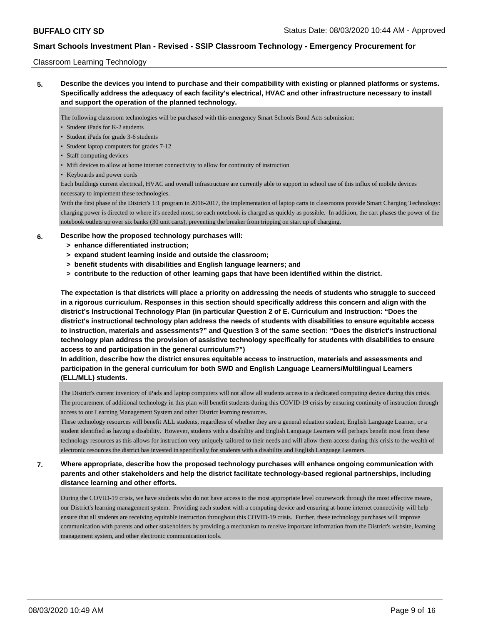#### Classroom Learning Technology

**5. Describe the devices you intend to purchase and their compatibility with existing or planned platforms or systems. Specifically address the adequacy of each facility's electrical, HVAC and other infrastructure necessary to install and support the operation of the planned technology.**

The following classroom technologies will be purchased with this emergency Smart Schools Bond Acts submission:

- Student iPads for K-2 students
- Student iPads for grade 3-6 students
- Student laptop computers for grades 7-12
- Staff computing devices
- Mifi devices to allow at home internet connectivity to allow for continuity of instruction
- Keyboards and power cords

Each buildings current electrical, HVAC and overall infrastructure are currently able to support in school use of this influx of mobile devices necessary to implement these technologies.

With the first phase of the District's 1:1 program in 2016-2017, the implementation of laptop carts in classrooms provide Smart Charging Technology: charging power is directed to where it's needed most, so each notebook is charged as quickly as possible. In addition, the cart phases the power of the notebook outlets up over six banks (30 unit carts), preventing the breaker from tripping on start up of charging.

#### **6. Describe how the proposed technology purchases will:**

- **> enhance differentiated instruction;**
- **> expand student learning inside and outside the classroom;**
- **> benefit students with disabilities and English language learners; and**
- **> contribute to the reduction of other learning gaps that have been identified within the district.**

**The expectation is that districts will place a priority on addressing the needs of students who struggle to succeed in a rigorous curriculum. Responses in this section should specifically address this concern and align with the district's Instructional Technology Plan (in particular Question 2 of E. Curriculum and Instruction: "Does the district's instructional technology plan address the needs of students with disabilities to ensure equitable access to instruction, materials and assessments?" and Question 3 of the same section: "Does the district's instructional technology plan address the provision of assistive technology specifically for students with disabilities to ensure access to and participation in the general curriculum?")**

**In addition, describe how the district ensures equitable access to instruction, materials and assessments and participation in the general curriculum for both SWD and English Language Learners/Multilingual Learners (ELL/MLL) students.**

The District's current inventory of iPads and laptop computers will not allow all students access to a dedicated computing device during this crisis. The procurement of additional technology in this plan will benefit students during this COVID-19 crisis by ensuring continuity of instruction through access to our Learning Management System and other District learning resources.

These technology resources will benefit ALL students, regardless of whether they are a general eduation student, English Language Learner, or a student identified as having a disability. However, students with a disability and English Language Learners will perhaps benefit most from these technology resources as this allows for instruction very uniquely tailored to their needs and will allow them access during this crisis to the wealth of electronic resources the district has invested in specifically for students with a disability and English Language Learners.

**7. Where appropriate, describe how the proposed technology purchases will enhance ongoing communication with parents and other stakeholders and help the district facilitate technology-based regional partnerships, including distance learning and other efforts.**

During the COVID-19 crisis, we have students who do not have access to the most appropriate level coursework through the most effective means, our District's learning management system. Providing each student with a computing device and ensuring at-home internet connectivity will help ensure that all students are receiving equitable instruction throughout this COVID-19 crisis. Further, these technology purchases will improve communication with parents and other stakeholders by providing a mechanism to receive important information from the District's website, learning management system, and other electronic communication tools.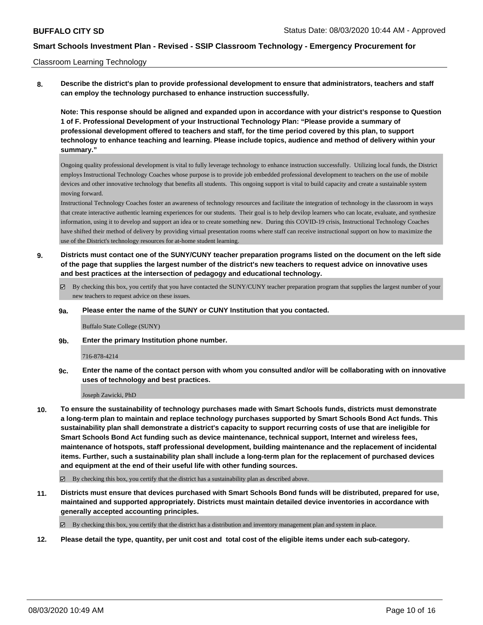#### Classroom Learning Technology

**8. Describe the district's plan to provide professional development to ensure that administrators, teachers and staff can employ the technology purchased to enhance instruction successfully.**

**Note: This response should be aligned and expanded upon in accordance with your district's response to Question 1 of F. Professional Development of your Instructional Technology Plan: "Please provide a summary of professional development offered to teachers and staff, for the time period covered by this plan, to support technology to enhance teaching and learning. Please include topics, audience and method of delivery within your summary."**

Ongoing quality professional development is vital to fully leverage technology to enhance instruction successfully. Utilizing local funds, the District employs Instructional Technology Coaches whose purpose is to provide job embedded professional development to teachers on the use of mobile devices and other innovative technology that benefits all students. This ongoing support is vital to build capacity and create a sustainable system moving forward.

Instructional Technology Coaches foster an awareness of technology resources and facilitate the integration of technology in the classroom in ways that create interactive authentic learning experiences for our students. Their goal is to help devilop learners who can locate, evaluate, and synthesize information, using it to develop and support an idea or to create something new. During this COVID-19 crisis, Instructional Technology Coaches have shifted their method of delivery by providing virtual presentation rooms where staff can receive instructional support on how to maximize the use of the District's technology resources for at-home student learning.

- **9. Districts must contact one of the SUNY/CUNY teacher preparation programs listed on the document on the left side of the page that supplies the largest number of the district's new teachers to request advice on innovative uses and best practices at the intersection of pedagogy and educational technology.**
	- By checking this box, you certify that you have contacted the SUNY/CUNY teacher preparation program that supplies the largest number of your new teachers to request advice on these issues.

#### **9a. Please enter the name of the SUNY or CUNY Institution that you contacted.**

Buffalo State College (SUNY)

**9b. Enter the primary Institution phone number.**

#### 716-878-4214

**9c. Enter the name of the contact person with whom you consulted and/or will be collaborating with on innovative uses of technology and best practices.**

Joseph Zawicki, PhD

- **10. To ensure the sustainability of technology purchases made with Smart Schools funds, districts must demonstrate a long-term plan to maintain and replace technology purchases supported by Smart Schools Bond Act funds. This sustainability plan shall demonstrate a district's capacity to support recurring costs of use that are ineligible for Smart Schools Bond Act funding such as device maintenance, technical support, Internet and wireless fees, maintenance of hotspots, staff professional development, building maintenance and the replacement of incidental items. Further, such a sustainability plan shall include a long-term plan for the replacement of purchased devices and equipment at the end of their useful life with other funding sources.**
	- $\boxtimes$  By checking this box, you certify that the district has a sustainability plan as described above.
- **11. Districts must ensure that devices purchased with Smart Schools Bond funds will be distributed, prepared for use, maintained and supported appropriately. Districts must maintain detailed device inventories in accordance with generally accepted accounting principles.**

By checking this box, you certify that the district has a distribution and inventory management plan and system in place.

**12. Please detail the type, quantity, per unit cost and total cost of the eligible items under each sub-category.**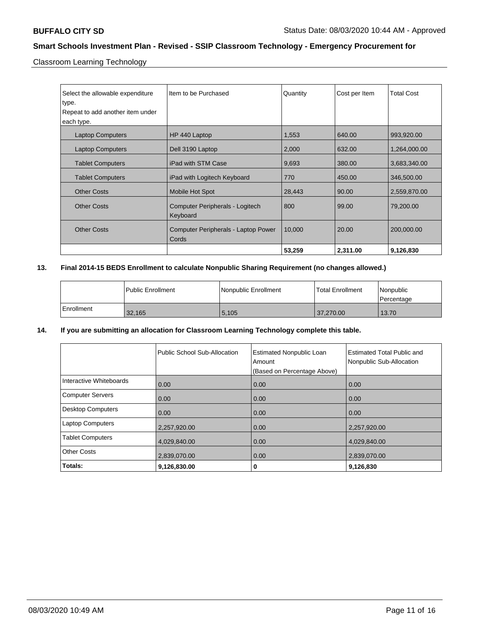Classroom Learning Technology

| Select the allowable expenditure<br>type. | Item to be Purchased                         | Quantity | Cost per Item | <b>Total Cost</b> |
|-------------------------------------------|----------------------------------------------|----------|---------------|-------------------|
| Repeat to add another item under          |                                              |          |               |                   |
| each type.                                |                                              |          |               |                   |
| <b>Laptop Computers</b>                   | HP 440 Laptop                                | 1,553    | 640.00        | 993,920.00        |
| <b>Laptop Computers</b>                   | Dell 3190 Laptop                             | 2,000    | 632.00        | 1,264,000.00      |
| <b>Tablet Computers</b>                   | iPad with STM Case                           | 9,693    | 380.00        | 3,683,340.00      |
| <b>Tablet Computers</b>                   | iPad with Logitech Keyboard                  | 770      | 450.00        | 346,500.00        |
| <b>Other Costs</b>                        | Mobile Hot Spot                              | 28,443   | 90.00         | 2,559,870.00      |
| <b>Other Costs</b>                        | Computer Peripherals - Logitech<br>Keyboard  | 800      | 99.00         | 79,200.00         |
| <b>Other Costs</b>                        | Computer Peripherals - Laptop Power<br>Cords | 10,000   | 20.00         | 200,000.00        |
|                                           |                                              | 53,259   | 2,311.00      | 9,126,830         |

## **13. Final 2014-15 BEDS Enrollment to calculate Nonpublic Sharing Requirement (no changes allowed.)**

|            | l Public Enrollment | Nonpublic Enrollment | <b>Total Enrollment</b> | Nonpublic<br>Percentage |
|------------|---------------------|----------------------|-------------------------|-------------------------|
| Enrollment | 32,165              | 5,105                | 37,270.00               | 13.70                   |

## **14. If you are submitting an allocation for Classroom Learning Technology complete this table.**

|                          | Public School Sub-Allocation | <b>Estimated Nonpublic Loan</b><br>Amount<br>(Based on Percentage Above) | <b>Estimated Total Public and</b><br>Nonpublic Sub-Allocation |
|--------------------------|------------------------------|--------------------------------------------------------------------------|---------------------------------------------------------------|
| Interactive Whiteboards  | 0.00                         | 0.00                                                                     | 0.00                                                          |
| <b>Computer Servers</b>  | 0.00                         | 0.00                                                                     | 0.00                                                          |
| <b>Desktop Computers</b> | 0.00                         | 0.00                                                                     | 0.00                                                          |
| <b>Laptop Computers</b>  | 2,257,920.00                 | 0.00                                                                     | 2,257,920.00                                                  |
| <b>Tablet Computers</b>  | 4,029,840.00                 | 0.00                                                                     | 4,029,840.00                                                  |
| <b>Other Costs</b>       | 2,839,070.00                 | 0.00                                                                     | 2,839,070.00                                                  |
| Totals:                  | 9,126,830.00                 | 0                                                                        | 9,126,830                                                     |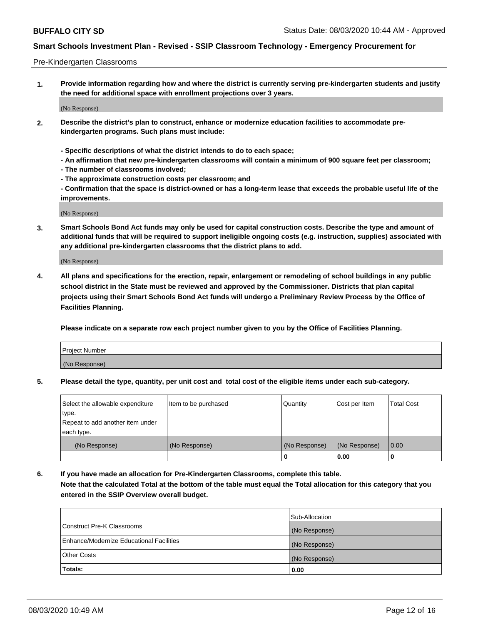#### Pre-Kindergarten Classrooms

**1. Provide information regarding how and where the district is currently serving pre-kindergarten students and justify the need for additional space with enrollment projections over 3 years.**

(No Response)

- **2. Describe the district's plan to construct, enhance or modernize education facilities to accommodate prekindergarten programs. Such plans must include:**
	- **Specific descriptions of what the district intends to do to each space;**
	- **An affirmation that new pre-kindergarten classrooms will contain a minimum of 900 square feet per classroom;**
	- **The number of classrooms involved;**
	- **The approximate construction costs per classroom; and**
	- **Confirmation that the space is district-owned or has a long-term lease that exceeds the probable useful life of the improvements.**

(No Response)

**3. Smart Schools Bond Act funds may only be used for capital construction costs. Describe the type and amount of additional funds that will be required to support ineligible ongoing costs (e.g. instruction, supplies) associated with any additional pre-kindergarten classrooms that the district plans to add.**

(No Response)

**4. All plans and specifications for the erection, repair, enlargement or remodeling of school buildings in any public school district in the State must be reviewed and approved by the Commissioner. Districts that plan capital projects using their Smart Schools Bond Act funds will undergo a Preliminary Review Process by the Office of Facilities Planning.**

**Please indicate on a separate row each project number given to you by the Office of Facilities Planning.**

| Project Number |  |
|----------------|--|
| (No Response)  |  |
|                |  |

**5. Please detail the type, quantity, per unit cost and total cost of the eligible items under each sub-category.**

| Select the allowable expenditure | Item to be purchased | Quantity      | Cost per Item | <b>Total Cost</b> |
|----------------------------------|----------------------|---------------|---------------|-------------------|
| type.                            |                      |               |               |                   |
| Repeat to add another item under |                      |               |               |                   |
| each type.                       |                      |               |               |                   |
| (No Response)                    | (No Response)        | (No Response) | (No Response) | 0.00              |
|                                  |                      | U             | 0.00          |                   |

**6. If you have made an allocation for Pre-Kindergarten Classrooms, complete this table. Note that the calculated Total at the bottom of the table must equal the Total allocation for this category that you entered in the SSIP Overview overall budget.**

| Totals:                                  | 0.00           |
|------------------------------------------|----------------|
| <b>Other Costs</b>                       | (No Response)  |
| Enhance/Modernize Educational Facilities | (No Response)  |
| Construct Pre-K Classrooms               | (No Response)  |
|                                          | Sub-Allocation |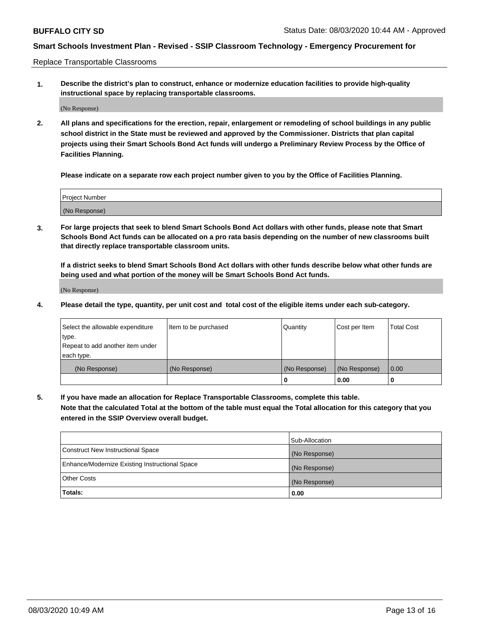Replace Transportable Classrooms

**1. Describe the district's plan to construct, enhance or modernize education facilities to provide high-quality instructional space by replacing transportable classrooms.**

(No Response)

**2. All plans and specifications for the erection, repair, enlargement or remodeling of school buildings in any public school district in the State must be reviewed and approved by the Commissioner. Districts that plan capital projects using their Smart Schools Bond Act funds will undergo a Preliminary Review Process by the Office of Facilities Planning.**

**Please indicate on a separate row each project number given to you by the Office of Facilities Planning.**

| Project Number |  |
|----------------|--|
|                |  |
|                |  |
|                |  |
| (No Response)  |  |
|                |  |
|                |  |

**3. For large projects that seek to blend Smart Schools Bond Act dollars with other funds, please note that Smart Schools Bond Act funds can be allocated on a pro rata basis depending on the number of new classrooms built that directly replace transportable classroom units.**

**If a district seeks to blend Smart Schools Bond Act dollars with other funds describe below what other funds are being used and what portion of the money will be Smart Schools Bond Act funds.**

(No Response)

**4. Please detail the type, quantity, per unit cost and total cost of the eligible items under each sub-category.**

| Select the allowable expenditure | Item to be purchased | Quantity      | Cost per Item | Total Cost |
|----------------------------------|----------------------|---------------|---------------|------------|
| ∣type.                           |                      |               |               |            |
| Repeat to add another item under |                      |               |               |            |
| each type.                       |                      |               |               |            |
| (No Response)                    | (No Response)        | (No Response) | (No Response) | 0.00       |
|                                  |                      | u             | 0.00          |            |

**5. If you have made an allocation for Replace Transportable Classrooms, complete this table. Note that the calculated Total at the bottom of the table must equal the Total allocation for this category that you entered in the SSIP Overview overall budget.**

|                                                | Sub-Allocation |
|------------------------------------------------|----------------|
| Construct New Instructional Space              | (No Response)  |
| Enhance/Modernize Existing Instructional Space | (No Response)  |
| Other Costs                                    | (No Response)  |
| Totals:                                        | 0.00           |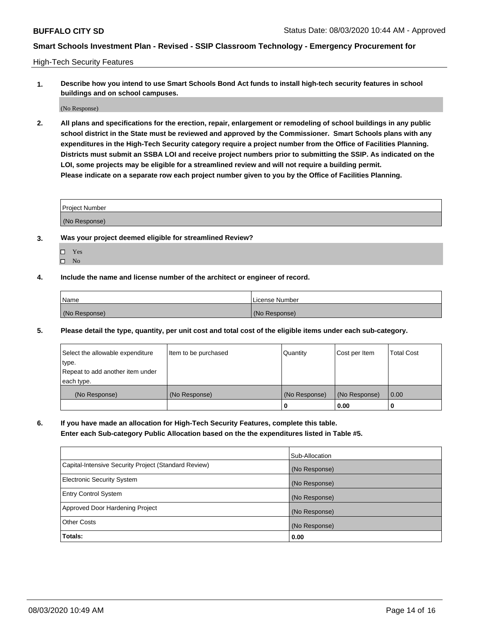High-Tech Security Features

**1. Describe how you intend to use Smart Schools Bond Act funds to install high-tech security features in school buildings and on school campuses.**

(No Response)

**2. All plans and specifications for the erection, repair, enlargement or remodeling of school buildings in any public school district in the State must be reviewed and approved by the Commissioner. Smart Schools plans with any expenditures in the High-Tech Security category require a project number from the Office of Facilities Planning. Districts must submit an SSBA LOI and receive project numbers prior to submitting the SSIP. As indicated on the LOI, some projects may be eligible for a streamlined review and will not require a building permit. Please indicate on a separate row each project number given to you by the Office of Facilities Planning.**

| <b>Project Number</b> |  |
|-----------------------|--|
| (No Response)         |  |

- **3. Was your project deemed eligible for streamlined Review?**
	- Yes
	- $\hfill \square$  No
- **4. Include the name and license number of the architect or engineer of record.**

| <b>Name</b>   | License Number |
|---------------|----------------|
| (No Response) | (No Response)  |

**5. Please detail the type, quantity, per unit cost and total cost of the eligible items under each sub-category.**

| Select the allowable expenditure | Item to be purchased | Quantity      | Cost per Item | <b>Total Cost</b> |
|----------------------------------|----------------------|---------------|---------------|-------------------|
| 'type.                           |                      |               |               |                   |
| Repeat to add another item under |                      |               |               |                   |
| each type.                       |                      |               |               |                   |
| (No Response)                    | (No Response)        | (No Response) | (No Response) | 0.00              |
|                                  |                      | U             | 0.00          |                   |

**6. If you have made an allocation for High-Tech Security Features, complete this table.**

**Enter each Sub-category Public Allocation based on the the expenditures listed in Table #5.**

|                                                      | Sub-Allocation |
|------------------------------------------------------|----------------|
| Capital-Intensive Security Project (Standard Review) | (No Response)  |
| <b>Electronic Security System</b>                    | (No Response)  |
| <b>Entry Control System</b>                          | (No Response)  |
| Approved Door Hardening Project                      | (No Response)  |
| <b>Other Costs</b>                                   | (No Response)  |
| Totals:                                              | 0.00           |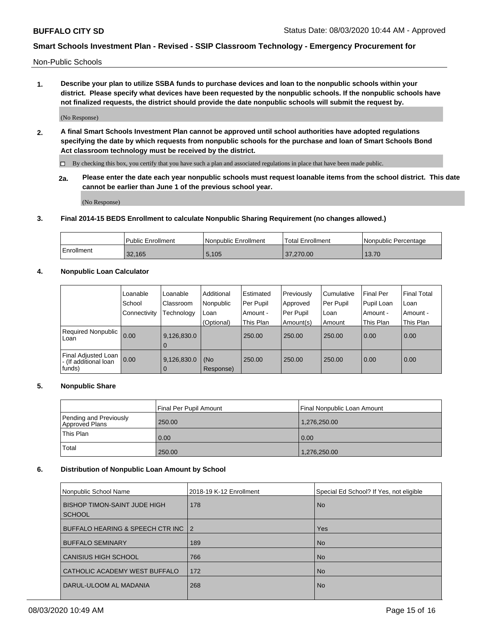Non-Public Schools

**1. Describe your plan to utilize SSBA funds to purchase devices and loan to the nonpublic schools within your district. Please specify what devices have been requested by the nonpublic schools. If the nonpublic schools have not finalized requests, the district should provide the date nonpublic schools will submit the request by.**

(No Response)

**2. A final Smart Schools Investment Plan cannot be approved until school authorities have adopted regulations specifying the date by which requests from nonpublic schools for the purchase and loan of Smart Schools Bond Act classroom technology must be received by the district.**

By checking this box, you certify that you have such a plan and associated regulations in place that have been made public.

**2a. Please enter the date each year nonpublic schools must request loanable items from the school district. This date cannot be earlier than June 1 of the previous school year.**

(No Response)

#### **3. Final 2014-15 BEDS Enrollment to calculate Nonpublic Sharing Requirement (no changes allowed.)**

|            | Public Enrollment | Nonpublic Enrollment | 'Total Enrollment | l Nonpublic Percentage |
|------------|-------------------|----------------------|-------------------|------------------------|
| Enrollment | 32.165            | 5.105                | .270.00           | 13.70                  |

#### **4. Nonpublic Loan Calculator**

|                                                        | Loanable     | Loanable                      | Additional       | Estimated | Previously | Cumulative | <b>Final Per</b> | <b>Final Total</b> |
|--------------------------------------------------------|--------------|-------------------------------|------------------|-----------|------------|------------|------------------|--------------------|
|                                                        | School       | Classroom                     | Nonpublic        | Per Pupil | Approved   | Per Pupil  | Pupil Loan       | Loan               |
|                                                        | Connectivity | Technology                    | Loan             | Amount -  | Per Pupil  | Loan       | Amount -         | Amount -           |
|                                                        |              |                               | (Optional)       | This Plan | Amount(s)  | Amount     | This Plan        | This Plan          |
| Required Nonpublic<br>Loan                             | 0.00         | 9,126,830.0<br>l 0            |                  | 250.00    | 250.00     | 250.00     | 0.00             | 0.00               |
| Final Adjusted Loan<br>- (If additional loan<br>funds) | 0.00         | 9,126,830.0<br>$\overline{0}$ | (No<br>Response) | 250.00    | 250.00     | 250.00     | 0.00             | 0.00               |

#### **5. Nonpublic Share**

|                                          | Final Per Pupil Amount | Final Nonpublic Loan Amount |
|------------------------------------------|------------------------|-----------------------------|
| Pending and Previously<br>Approved Plans | 250.00                 | 1,276,250.00                |
| This Plan                                | 0.00                   | 0.00                        |
| Total                                    | 250.00                 | 1,276,250.00                |

#### **6. Distribution of Nonpublic Loan Amount by School**

| Nonpublic School Name               | 2018-19 K-12 Enrollment | Special Ed School? If Yes, not eligible |
|-------------------------------------|-------------------------|-----------------------------------------|
| <b>BISHOP TIMON-SAINT JUDE HIGH</b> | 178                     | <b>No</b>                               |
| <b>SCHOOL</b>                       |                         |                                         |
| BUFFALO HEARING & SPEECH CTR INC    | $\overline{2}$          | <b>Yes</b>                              |
| <b>BUFFALO SEMINARY</b>             | 189                     | <b>No</b>                               |
| <b>CANISIUS HIGH SCHOOL</b>         | 766                     | <b>No</b>                               |
| CATHOLIC ACADEMY WEST BUFFALO       | 172                     | <b>No</b>                               |
| DARUL-ULOOM AL MADANIA              | 268                     | <b>No</b>                               |
|                                     |                         |                                         |